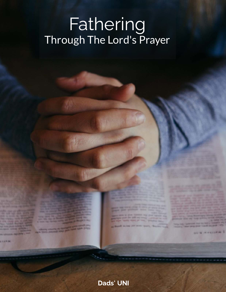# Fathering<br>Through The Lord's Prayer

OF A WEIGHT N. 1

**GRANCISCO** 

THEIR DESIGNATION AND

**CLARAN** 

## **Dads' UNI**

**GARDEN SERVICE** 

s same in them transmiss cars<br>ages controller sale one compy them think Hind in the Three needs the Melvin Blands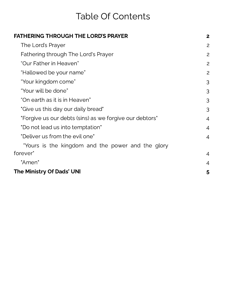# Table Of Contents

| <b>FATHERING THROUGH THE LORD'S PRAYER</b>              | $\overline{2}$ |
|---------------------------------------------------------|----------------|
| The Lord's Prayer                                       | 2              |
| Fathering through The Lord's Prayer                     | 2              |
| "Our Father in Heaven"                                  | 2              |
| "Hallowed be your name"                                 | 2              |
| "Your kingdom come"                                     | 3              |
| "Your will be done"                                     | 3              |
| "On earth as it is in Heaven"                           | 3              |
| "Give us this day our daily bread"                      | 3              |
| "Forgive us our debts (sins) as we forgive our debtors" | $\overline{4}$ |
| "Do not lead us into temptation"                        | $\overline{4}$ |
| "Deliver us from the evil one"                          | $\overline{4}$ |
| "Yours is the kingdom and the power and the glory       |                |
| forever"                                                | $\overline{4}$ |
| "Amen"                                                  | $\overline{4}$ |
| <b>The Ministry Of Dads' UNI</b>                        | 5              |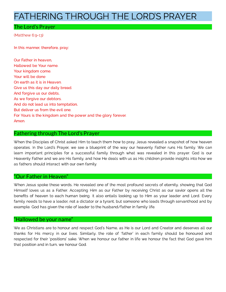## <span id="page-2-0"></span>FATHERING THROUGH THE LORD'S PRAYER

### <span id="page-2-1"></span>The Lord's Prayer

(Matthew 6:9-13)

In this manner, therefore, pray:

Our Father in heaven, Hallowed be Your name. Your kingdom come. Your will be done On earth as it is in Heaven. Give us this day our daily bread. And forgive us our debts, As we forgive our debtors. And do not lead us into temptation, But deliver us from the evil one. For Yours is the kingdom and the power and the glory forever. Amen.

#### <span id="page-2-2"></span>Fathering through The Lord's Prayer

When the Disciples of Christ asked Him to teach them how to pray, Jesus revealed a snapshot of how heaven operates. In the Lord's Prayer, we see a blueprint of the way our heavenly Father runs His family. We can learn important principles for a successful family through what was revealed in this prayer. God is our Heavenly Father and we are His family, and how He deals with us as His children provide insights into how we as fathers should interact with our own family.

#### <span id="page-2-3"></span>"Our Father in Heaven"

When Jesus spoke these words, He revealed one of the most profound secrets of eternity, showing that God Himself loves us as a Father. Accepting Him as our Father by receiving Christ as our savior opens all the benefits of heaven to each human being. It also entails looking up to Him as your leader and Lord. Every family needs to have a leader, not a dictator or a tyrant, but someone who leads through servanthood and by example. God has given the role of leader to the husband/father in family life.

#### <span id="page-2-4"></span>"Hallowed be your name"

We as Christians are to honour and respect God's Name, as He is our Lord and Creator and deserves all our thanks for His mercy in our lives. Similarly, the role of 'father' in each family should be honoured and respected for their 'positions' sake. When we honour our father in life we honour the fact that God gave him that position and in turn, we honour God.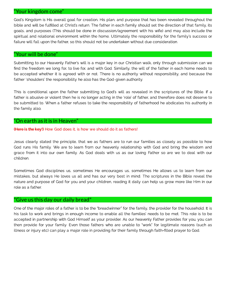#### <span id="page-3-0"></span>"Your kingdom come"

God's Kingdom is His overall goal for creation, His plan, and purpose that has been revealed throughout the bible and will be fullled at Christ's return. The father in each family should set the direction of that family, its goals, and purposes (This should be done in discussion/agreement with his wife) and may also include the spiritual and relational environment within the home. Ultimately the responsibility for the family's success or failure will fall upon the father, so this should not be undertaken without due consideration.

#### <span id="page-3-1"></span>"Your will be done"

Submitting to our Heavenly Father's will is a major key in our Christian walk, only through submission can we find the freedom we long for, to live for, and with God. Similarly, the will of the father in each home needs to be accepted whether it is agreed with or not. There is no authority without responsibility, and because the father 'shoulders' the responsibility he also has the God-given authority.

This is conditional upon the father submitting to God's will as revealed in the scriptures of the Bible. If a father is abusive or violent then he is no longer acting in the 'role' of father, and therefore does not deserve to be submitted to. When a father refuses to take the responsibility of fatherhood he abdicates his authority in the family also.

#### <span id="page-3-2"></span>"On earth as it is in Heaven"

(Here is the key!) How God does it, is how we should do it as fathers!

Jesus clearly stated the principle, that we as fathers are to run our families as closely as possible to how God runs His family. We are to learn from our heavenly relationship with God and bring the wisdom and grace from it into our own family. As God deals with us as our loving Father so are we to deal with our children.

Sometimes God disciplines us, sometimes He encourages us, sometimes He allows us to learn from our mistakes, but always He loves us all and has our very best in mind. The scriptures in the Bible reveal the nature and purpose of God for you and your children, reading it daily can help us grow more like Him in our role as a father.

#### <span id="page-3-3"></span>"Give us this day our daily bread"

One of the major roles of a father is to be the "breadwinner" for the family, the provider for the household. It is his task to work and brings in enough income to enable all the families' needs to be met. This role is to be accepted in partnership with God Himself as your provider. As our heavenly Father provides for you, you can then provide for your family. Even those fathers who are unable to "work" for legitimate reasons (such as illness or injury etc) can play a major role in providing for their family through faith-filled prayer to God.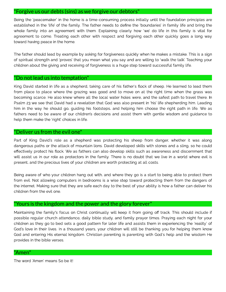#### <span id="page-4-0"></span>"Forgive us our debts (sins) as we forgive our debtors"

Being the 'peacemaker' in the home is a time-consuming process initially until the foundation principles are<br>established in the 'life' of the family. The father needs to define the 'boundaries' in family life and bring the whole family into an agreement with them. Explaining clearly how 'we' do life in this family is vital for whose family into a green and agreement with the measurement with the measurement with into a green  $\epsilon$  in this family is vital for  $\epsilon$  in this family is vital for  $\epsilon$  and  $\epsilon$  is vital for  $\epsilon$  in this family is vital agreement to come agreement to come. The come with respect and forgiving each other quickly goes a long way. toward having peace in the home.

The father should lead by example by asking for forgiveness quickly when he makes a mistake. This is a sign<br>of spiritual strength and 'proves' that you mean what you say and are willing to 'walk the talk'. Teaching your children about the giving and receiving of forgiveness is a huge step toward successful family life. children about the giving and receiving of forgiveness is a huge step toward successful family life.

#### <span id="page-4-1"></span>"Do not lead us into temptation"

King David started in life as a shepherd, taking care of his father's flock of sheep. He learned to lead them<br>from place to place where the grazing was good and to move on at the right time when the grass was becoming scarce. He also knew where all the local water holes were, and the safest path to travel there. In Psalm 23 we see that David had a revelation that God was also present in 'his' life shepherding him. Leading him in the way he should go, quiding his footsteps, and helping him choose the right path in life. We as fathers need to be aware of our children's decisions and assist them with gentle wisdom and quidance to help them make the 'right' choices in life. help them make the 'right' choices in life.

#### <span id="page-4-2"></span>"Deliver us from the evil one"

Part of King David's role as a shepherd was protecting his sheep from danger, whether it was along<br>dangerous paths or the attack of mountain lions. David developed skills with stones and a sling, so he could effectively protect his flock. We as fathers can also develop skills such as awareness and discernment that will assist us in our role as protectors in the family. There is no doubt that we live in a world where evil is present, and the precious lives of your children are worth protecting at all costs. present, and the precious lives of your children are worth protecting at all costs.

Being aware of who your children hang out with, and where they go is a start to being able to protect them<br>from evil. Not allowing computers in bedrooms is a wise step toward protecting them from the dangers of from evidence in the step toward computers in bedrooms in the dangers in the dangers in the dangers in  $\mathbf{A}$ the internet. Making sure that they are safe each day to the best of your ability is how a father can deliver his

#### <span id="page-4-3"></span>"Yours is the kingdom and the power and the glory forever"

Maintaining the family's focus on Christ continually will keep it from going off track. This should include if<br>possible regular church attendance, daily bible study, and family prayer times. Praying each night for your children as they go to bed sets a good pattern for later life and assists them in experiencing the 'reality' of God's love in their lives. In a thousand years, your children will still be thanking you for helping them know God and entering His eternal kingdom. Christian parenting is parenting with God's help and the wisdom He<br>Cod and entering His eternal kingdom. Christian parenting is parenting with God's help and the wisdom He provides in the bible verses.

#### <span id="page-4-4"></span>"Amen"

The word 'Amen' means So be it!